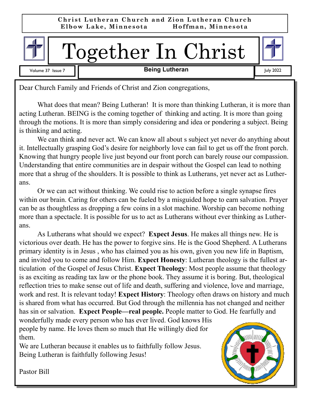

Volume 37 Issue 7 **Telecial Contract Contract Property Being Lutheran Contract Contract Property 2022** 



Dear Church Family and Friends of Christ and Zion congregations,

What does that mean? Being Lutheran! It is more than thinking Lutheran, it is more than acting Lutheran. BEING is the coming together of thinking and acting. It is more than going through the motions. It is more than simply considering and idea or pondering a subject. Being is thinking and acting.

 We can think and never act. We can know all about s subject yet never do anything about it. Intellectually grasping God's desire for neighborly love can fail to get us off the front porch. Knowing that hungry people live just beyond our front porch can barely rouse our compassion. Understanding that entire communities are in despair without the Gospel can lead to nothing more that a shrug of the shoulders. It is possible to think as Lutherans, yet never act as Lutherans.

 Or we can act without thinking. We could rise to action before a single synapse fires within our brain. Caring for others can be fueled by a misguided hope to earn salvation. Prayer can be as thoughtless as dropping a few coins in a slot machine. Worship can become nothing more than a spectacle. It is possible for us to act as Lutherans without ever thinking as Lutherans.

 As Lutherans what should we expect? **Expect Jesus**. He makes all things new. He is victorious over death. He has the power to forgive sins. He is the Good Shepherd. A Lutherans primary identity is in Jesus , who has claimed you as his own, given you new life in Baptism, and invited you to come and follow Him. **Expect Honesty**: Lutheran theology is the fullest articulation of the Gospel of Jesus Christ. **Expect Theology**: Most people assume that theology is as exciting as reading tax law or the phone book. They assume it is boring. But, theological reflection tries to make sense out of life and death, suffering and violence, love and marriage, work and rest. It is relevant today! **Expect History**: Theology often draws on history and much is shared from what has occurred. But God through the millennia has not changed and neither has sin or salvation. **Expect People—real people.** People matter to God. He fearfully and

wonderfully made every person who has ever lived. God knows His people by name. He loves them so much that He willingly died for them.

We are Lutheran because it enables us to faithfully follow Jesus. Being Lutheran is faithfully following Jesus!



Pastor Bill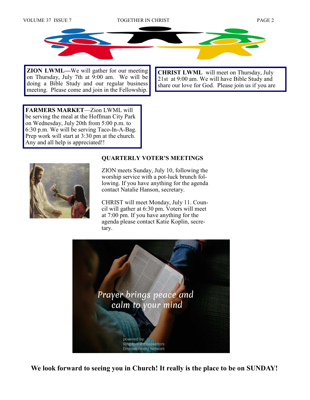

**ZION LWML—**We will gather for our meeting on Thursday, July 7th at 9:00 am. We will be doing a Bible Study and our regular business meeting. Please come and join in the Fellowship.

**CHRIST LWML** will meet on Thursday, July 21st at 9:00 am. We will have Bible Study and share our love for God. Please join us if you are

**FARMERS MARKET**—Zion LWML will be serving the meal at the Hoffman City Park on Wednesday, July 20th from 5:00 p.m. to 6:30 p.m. We will be serving Taco-In-A-Bag. Prep work will start at 3:30 pm at the church. Any and all help is appreciated!!



#### **QUARTERLY VOTER'S MEETINGS**

ZION meets Sunday, July 10, following the worship service with a pot-luck brunch following. If you have anything for the agenda contact Natalie Hanson, secretary.

CHRIST will meet Monday, July 11. Council will gather at 6:30 pm. Voters will meet at 7:00 pm. If you have anything for the agenda please contact Katie Koplin, secretary.



**We look forward to seeing you in Church! It really is the place to be on SUNDAY!**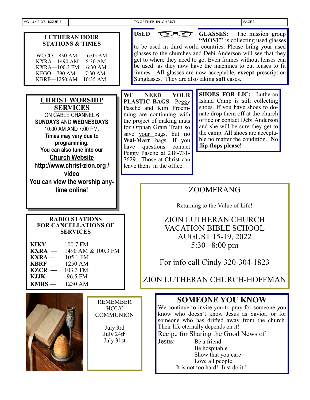| VOLUME 37 ISSUE 7                                                                                                                                                                                                                  |                                                                                                                                                                                                                                                                  |                                                                                                                                                                                                                                                                                                                                                                                                                                                                      |                                                                                                                                                                          | TOGETHER IN CHRIST                                                                                                                                                                                                                                                                                     | PAGE 3                                                                                                                                                                                                                                                                                                                                                                    |  |
|------------------------------------------------------------------------------------------------------------------------------------------------------------------------------------------------------------------------------------|------------------------------------------------------------------------------------------------------------------------------------------------------------------------------------------------------------------------------------------------------------------|----------------------------------------------------------------------------------------------------------------------------------------------------------------------------------------------------------------------------------------------------------------------------------------------------------------------------------------------------------------------------------------------------------------------------------------------------------------------|--------------------------------------------------------------------------------------------------------------------------------------------------------------------------|--------------------------------------------------------------------------------------------------------------------------------------------------------------------------------------------------------------------------------------------------------------------------------------------------------|---------------------------------------------------------------------------------------------------------------------------------------------------------------------------------------------------------------------------------------------------------------------------------------------------------------------------------------------------------------------------|--|
| <b>LUTHERAN HOUR</b><br><b>STATIONS &amp; TIMES</b><br>6:05 AM<br>WCCO-830 AM<br><b>KXRA-1490 AM</b><br>6:30 AM<br>KXRA-100.3 FM<br>6:30 AM<br>KFGO—790 AM<br>7:30 AM<br>KBRF-1250 AM 10:35 AM                                     |                                                                                                                                                                                                                                                                  | <b>USED</b><br><b>GLASSES:</b><br>The mission group<br>"MOST" is collecting used glasses<br>to be used in third world countries. Please bring your used<br>glasses to the churches and Debi Anderson will see that they<br>get to where they need to go. Even frames without lenses can<br>be used as they now have the machines to cut lenses to fit<br>frames. All glasses are now acceptable, except prescription<br>Sunglasses. They are also taking soft cases. |                                                                                                                                                                          |                                                                                                                                                                                                                                                                                                        |                                                                                                                                                                                                                                                                                                                                                                           |  |
|                                                                                                                                                                                                                                    | <b>CHRIST WORSHIP</b><br><b>SERVICES</b><br>ON CABLE CHANNEL 6<br><b>SUNDAYS AND WEDNESDAYS</b><br>10:00 AM AND 7:00 PM.<br>Times may vary due to<br>programming.<br>You can also tune into our<br><b>Church Website</b><br>http://www.christ-zion.org/<br>video | WE<br>have                                                                                                                                                                                                                                                                                                                                                                                                                                                           | <b>NEED</b><br>questions                                                                                                                                                 | <b>YOUR</b><br>PLASTIC BAGS: Peggy<br>Pasche and Kim Froem-<br>ming are continuing with<br>the project of making mats<br>for Orphan Grain Train so<br>save your bags, but no<br>Wal-Mart bags. If you<br>contact<br>Peggy Pasche at 218-731-<br>7629. Those at Christ can<br>leave them in the office. | <b>SHOES FOR LIC: Lutheran</b><br>Island Camp is still collecting<br>shoes. If you have shoes to do-<br>nate drop them off at the church<br>office or contact Debi Anderson<br>and she will be sure they get to<br>the camp. All shoes are accepta-<br>ble no matter the condition. No<br>flip-flops please!                                                              |  |
| You can view the worship any-<br>time online!                                                                                                                                                                                      |                                                                                                                                                                                                                                                                  |                                                                                                                                                                                                                                                                                                                                                                                                                                                                      | <b>ZOOMERANG</b>                                                                                                                                                         |                                                                                                                                                                                                                                                                                                        |                                                                                                                                                                                                                                                                                                                                                                           |  |
|                                                                                                                                                                                                                                    |                                                                                                                                                                                                                                                                  |                                                                                                                                                                                                                                                                                                                                                                                                                                                                      | Returning to the Value of Life!                                                                                                                                          |                                                                                                                                                                                                                                                                                                        |                                                                                                                                                                                                                                                                                                                                                                           |  |
| <b>RADIO STATIONS</b><br><b>FOR CANCELLATIONS OF</b><br><b>SERVICES</b><br>KIKV-<br>100.7 FM<br>$KXRA -$<br>1490 AM & 100.3 FM<br>$\text{KXRA}$ —<br>105.1 FM<br>$KBRF-$<br>1250 AM<br>$KZCR -$<br>103.3 FM<br>$KJJK -$<br>96.5 FM |                                                                                                                                                                                                                                                                  |                                                                                                                                                                                                                                                                                                                                                                                                                                                                      | ZION LUTHERAN CHURCH<br><b>VACATION BIBLE SCHOOL</b><br><b>AUGUST 15-19, 2022</b><br>5:30 $-8:00$ pm<br>For info call Cindy 320-304-1823<br>ZION LUTHERAN CHURCH-HOFFMAN |                                                                                                                                                                                                                                                                                                        |                                                                                                                                                                                                                                                                                                                                                                           |  |
| $KMRS -$                                                                                                                                                                                                                           | 1230 AM                                                                                                                                                                                                                                                          |                                                                                                                                                                                                                                                                                                                                                                                                                                                                      |                                                                                                                                                                          |                                                                                                                                                                                                                                                                                                        |                                                                                                                                                                                                                                                                                                                                                                           |  |
|                                                                                                                                                                                                                                    | <b>REMEMBER</b><br><b>HOLY</b><br><b>COMMUNION</b><br>July 3rd<br>July 24th<br>July 31st                                                                                                                                                                         |                                                                                                                                                                                                                                                                                                                                                                                                                                                                      |                                                                                                                                                                          | Jesus:                                                                                                                                                                                                                                                                                                 | <b>SOMEONE YOU KNOW</b><br>We continue to invite you to pray for someone you<br>know who doesn't know Jesus as Savior, or for<br>someone who has drifted away from the church.<br>Their life eternally depends on it!<br>Recipe for Sharing the Good News of<br>Be a friend<br>Be hospitable<br>Show that you care<br>Love all people<br>It is not too hard! Just do it ! |  |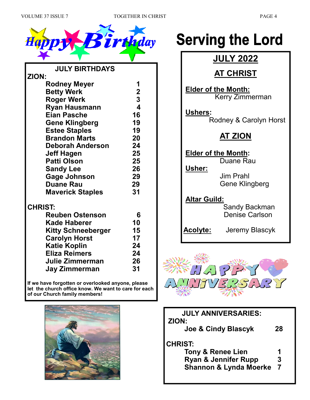



| <b>JULY BIRTHDAYS</b>     |                         |
|---------------------------|-------------------------|
| ZION:                     |                         |
| <b>Rodney Meyer</b>       | 1                       |
| <b>Betty Werk</b>         | $\overline{\mathbf{2}}$ |
| <b>Roger Werk</b>         | $\overline{\mathbf{3}}$ |
| <b>Ryan Hausmann</b>      | 4                       |
| <b>Eian Pasche</b>        | 16                      |
| <b>Gene Klingberg</b>     | 19                      |
| <b>Estee Staples</b>      | 19                      |
| <b>Brandon Marts</b>      | 20                      |
| <b>Deborah Anderson</b>   | 24                      |
| <b>Jeff Hagen</b>         | 25                      |
| <b>Patti Olson</b>        | 25                      |
| <b>Sandy Lee</b>          | 26                      |
| <b>Gage Johnson</b>       | 29                      |
| <b>Duane Rau</b>          | 29                      |
| <b>Maverick Staples</b>   | 31                      |
| <b>CHRIST:</b>            |                         |
| <b>Reuben Ostenson</b>    | 6                       |
| Kade Haberer              | 10                      |
| <b>Kitty Schneeberger</b> | 15                      |
| <b>Carolyn Horst</b>      | 17                      |
| <b>Katie Koplin</b>       | 24                      |
| <b>Eliza Reimers</b>      | 24                      |
| Julie Zimmerman           | 26                      |

**If we have forgotten or overlooked anyone, please let the church office know. We want to care for each of our Church family members!** 

 **Jay Zimmerman 31**



# **Serving the Lord**

## **JULY 2022**

## **AT CHRIST**

 **Elder of the Month:** Kerry Zimmerman

#### **Ushers:**

Rodney & Carolyn Horst

## **AT ZION**

 **Elder of the Month:** Duane Rau

 **Usher:** 

 Jim Prahl Gene Klingberg

### **Altar Guild:**

 Sandy Backman Denise Carlson

**Acolyte:** Jeremy Blascyk



| <b>JULY ANNIVERSARIES:</b><br>ZION: |                |  |  |  |
|-------------------------------------|----------------|--|--|--|
| Joe & Cindy Blascyk                 | 28             |  |  |  |
| <b>CHRIST:</b>                      |                |  |  |  |
| <b>Tony &amp; Renee Lien</b>        | 1              |  |  |  |
| <b>Ryan &amp; Jennifer Rupp</b>     | 3              |  |  |  |
| <b>Shannon &amp; Lynda Moerke</b>   | $\overline{7}$ |  |  |  |